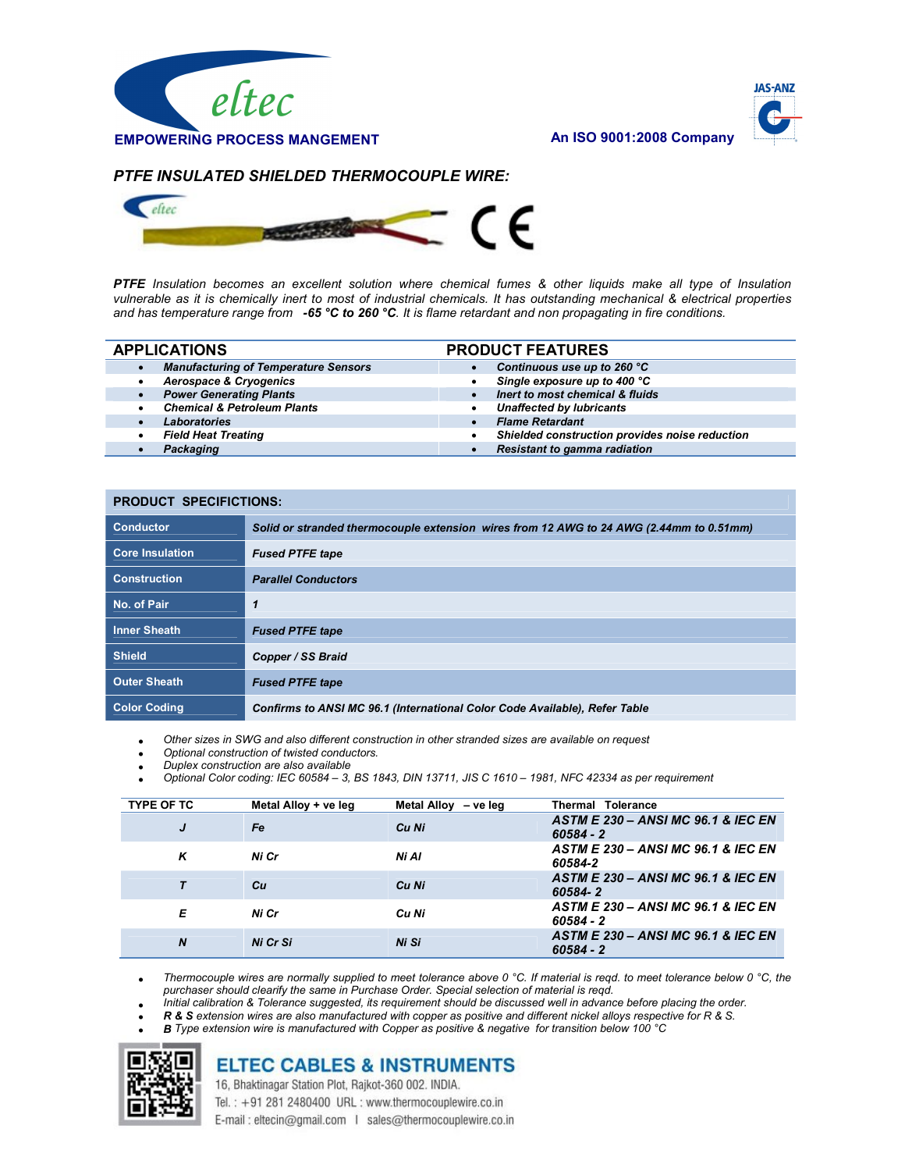

**IAS-ANZ** 

An ISO 9001:2008 Company

## PTFE INSULATED SHIELDED THERMOCOUPLE WIRE:



PTFE Insulation becomes an excellent solution where chemical fumes & other liquids make all type of Insulation vulnerable as it is chemically inert to most of industrial chemicals. It has outstanding mechanical & electrical properties and has temperature range from -65 °C to 260 °C. It is flame retardant and non propagating in fire conditions.

| <b>APPLICATIONS</b> |                                             | <b>PRODUCT FEATURES</b>                        |  |  |
|---------------------|---------------------------------------------|------------------------------------------------|--|--|
| $\bullet$           | <b>Manufacturing of Temperature Sensors</b> | Continuous use up to 260 °C                    |  |  |
|                     | <b>Aerospace &amp; Cryogenics</b>           | Single exposure up to 400 °C                   |  |  |
|                     | <b>Power Generating Plants</b>              | Inert to most chemical & fluids                |  |  |
|                     | <b>Chemical &amp; Petroleum Plants</b>      | <b>Unaffected by lubricants</b>                |  |  |
|                     | <b>Laboratories</b>                         | <b>Flame Retardant</b>                         |  |  |
|                     | <b>Field Heat Treating</b>                  | Shielded construction provides noise reduction |  |  |
|                     | Packaging                                   | <b>Resistant to gamma radiation</b>            |  |  |

| <b>PRODUCT SPECIFICTIONS:</b> |                                                                                         |  |  |  |
|-------------------------------|-----------------------------------------------------------------------------------------|--|--|--|
| <b>Conductor</b>              | Solid or stranded thermocouple extension wires from 12 AWG to 24 AWG (2.44mm to 0.51mm) |  |  |  |
| <b>Core Insulation</b>        | <b>Fused PTFE tape</b>                                                                  |  |  |  |
| <b>Construction</b>           | <b>Parallel Conductors</b>                                                              |  |  |  |
| No. of Pair                   | 1                                                                                       |  |  |  |
| <b>Inner Sheath</b>           | <b>Fused PTFE tape</b>                                                                  |  |  |  |
| <b>Shield</b>                 | Copper / SS Braid                                                                       |  |  |  |
| <b>Outer Sheath</b>           | <b>Fused PTFE tape</b>                                                                  |  |  |  |
| <b>Color Codina</b>           | <b>Confirms to ANSI MC 96.1 (International Color Code Available), Refer Table</b>       |  |  |  |

Other sizes in SWG and also different construction in other stranded sizes are available on request

Optional construction of twisted conductors.

Duplex construction are also available

Optional Color coding: IEC 60584 – 3, BS 1843, DIN 13711, JIS C 1610 – 1981, NFC 42334 as per requirement

| <b>TYPE OF TC</b> | Metal Alloy + ve leg | Metal Alloy - ve leg | <b>Thermal Tolerance</b>                                     |
|-------------------|----------------------|----------------------|--------------------------------------------------------------|
| J                 | Fe                   | Cu Ni                | <b>ASTM E 230 - ANSI MC 96.1 &amp; IEC EN</b><br>$60584 - 2$ |
| ĸ                 | Ni Cr                | Ni Al                | <b>ASTM E 230 - ANSI MC 96.1 &amp; IEC EN</b><br>60584-2     |
|                   | Сu                   | Cu Ni                | <b>ASTM E 230 - ANSI MC 96.1 &amp; IEC EN</b><br>60584-2     |
| Е                 | Ni Cr                | Cu Ni                | ASTM E 230 - ANSI MC 96.1 & IEC EN<br>60584 - 2              |
| N                 | Ni Cr Si             | Ni Si                | ASTM E 230 - ANSI MC 96.1 & IEC EN<br>$60584 - 2$            |

Thermocouple wires are normally supplied to meet tolerance above 0 °C. If material is reqd. to meet tolerance below 0 °C, the purchaser should clearify the same in Purchase Order. Special selection of material is reqd.

Initial calibration & Tolerance suggested, its requirement should be discussed well in advance before placing the order.

R & S extension wires are also manufactured with copper as positive and different nickel alloys respective for R & S.

B Type extension wire is manufactured with Copper as positive & negative for transition below 100 °C



## **ELTEC CABLES & INSTRUMENTS**

16, Bhaktinagar Station Plot, Rajkot-360 002. INDIA. Tel.: +91 281 2480400 URL: www.thermocouplewire.co.in E-mail: eltecin@gmail.com | sales@thermocouplewire.co.in